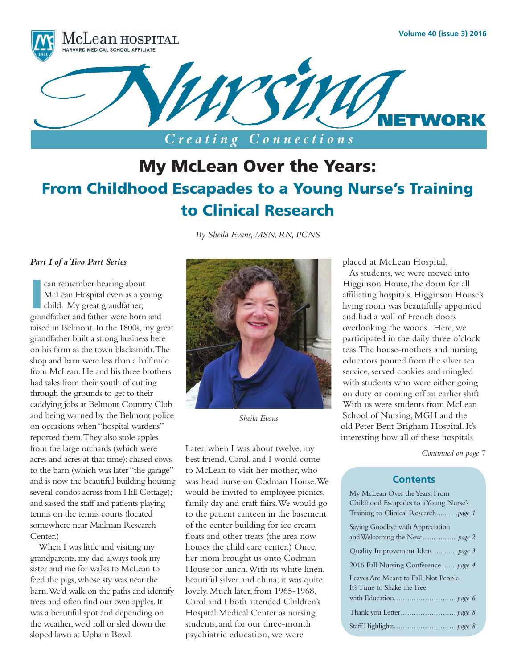

*Creating Connections*

# My McLean Over the Years: From Childhood Escapades to a Young Nurse's Training to Clinical Research

*By Sheila Evans, MSN, RN, PCNS*

#### *Part I of a Two Part Series*

can remember hearing about<br>McLean Hospital even as a young<br>child. My great grandfather,<br>grandfather and father were born and can remember hearing about McLean Hospital even as a young child. My great grandfather, raised in Belmont. In the 1800s, my great grandfather built a strong business here on his farm as the town blacksmith. The shop and barn were less than a half mile from McLean. He and his three brothers had tales from their youth of cutting through the grounds to get to their caddying jobs at Belmont Country Club and being warned by the Belmont police on occasions when "hospital wardens" reported them. They also stole apples from the large orchards (which were acres and acres at that time); chased cows to the barn (which was later "the garage" and is now the beautiful building housing several condos across from Hill Cottage); and sassed the staff and patients playing tennis on the tennis courts (located somewhere near Mailman Research Center.)

When I was little and visiting my grandparents, my dad always took my sister and me for walks to McLean to feed the pigs, whose sty was near the barn. We'd walk on the paths and identify trees and often find our own apples. It was a beautiful spot and depending on the weather, we'd roll or sled down the sloped lawn at Upham Bowl.



*Sheila Evans*

Later, when I was about twelve, my best friend, Carol, and I would come to McLean to visit her mother, who was head nurse on Codman House. We would be invited to employee picnics, family day and craft fairs. We would go to the patient canteen in the basement of the center building for ice cream floats and other treats (the area now houses the child care center.) Once, her mom brought us onto Codman House for lunch. With its white linen, beautiful silver and china, it was quite lovely. Much later, from 1965-1968, Carol and I both attended Children's Hospital Medical Center as nursing students, and for our three-month psychiatric education, we were

placed at McLean Hospital.

As students, we were moved into Higginson House, the dorm for all affiliating hospitals. Higginson House's living room was beautifully appointed and had a wall of French doors overlooking the woods. Here, we participated in the daily three o'clock teas. The house-mothers and nursing educators poured from the silver tea service, served cookies and mingled with students who were either going on duty or coming off an earlier shift. With us were students from McLean School of Nursing, MGH and the old Peter Bent Brigham Hospital. It's interesting how all of these hospitals

*Continued on page 7*

#### **Contents**

| My McLean Over the Years: From<br>Childhood Escapades to a Young Nurse's |
|--------------------------------------------------------------------------|
| Training to Clinical Research <i>page 1</i>                              |
| Saying Goodbye with Appreciation                                         |
|                                                                          |
| Quality Improvement Ideas  page 3                                        |
| 2016 Fall Nursing Conference  page 4                                     |
| Leaves Are Meant to Fall, Not People<br>It's Time to Shake the Tree      |
|                                                                          |
|                                                                          |
|                                                                          |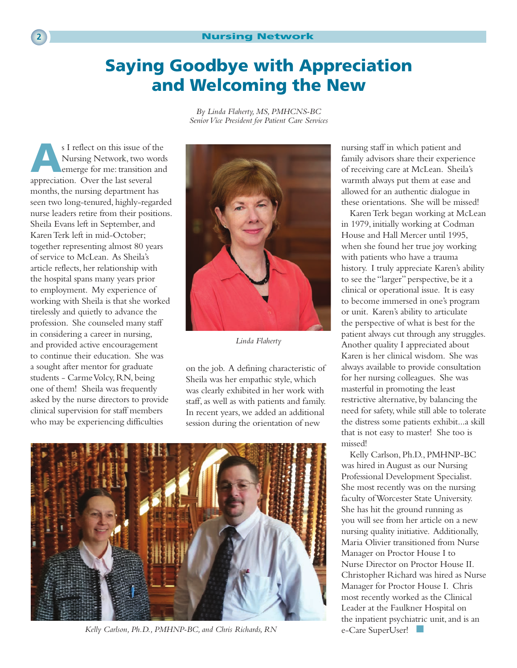## Saying Goodbye with Appreciation and Welcoming the New

*By Linda Flaherty, MS, PMHCNS-BC Senior Vice President for Patient Care Services*

S I reflect on this issue of the<br>
Nursing Network, two words<br>
emerge for me: transition and Nursing Network, two words appreciation. Over the last several months, the nursing department has seen two long-tenured, highly-regarded nurse leaders retire from their positions. Sheila Evans left in September, and Karen Terk left in mid-October; together representing almost 80 years of service to McLean. As Sheila's article reflects, her relationship with the hospital spans many years prior to employment. My experience of working with Sheila is that she worked tirelessly and quietly to advance the profession. She counseled many staff in considering a career in nursing, and provided active encouragement to continue their education. She was a sought after mentor for graduate students - Carme Volcy, RN, being one of them! Sheila was frequently asked by the nurse directors to provide clinical supervision for staff members who may be experiencing difficulties



*Linda Flaherty*

on the job. A defining characteristic of Sheila was her empathic style, which was clearly exhibited in her work with staff, as well as with patients and family. In recent years, we added an additional session during the orientation of new



*Kelly Carlson, Ph.D., PMHNP-BC, and Chris Richards, RN* e-Care SuperUser!

nursing staff in which patient and family advisors share their experience of receiving care at McLean. Sheila's warmth always put them at ease and allowed for an authentic dialogue in these orientations. She will be missed!

Karen Terk began working at McLean in 1979, initially working at Codman House and Hall Mercer until 1995, when she found her true joy working with patients who have a trauma history. I truly appreciate Karen's ability to see the "larger" perspective, be it a clinical or operational issue. It is easy to become immersed in one's program or unit. Karen's ability to articulate the perspective of what is best for the patient always cut through any struggles. Another quality I appreciated about Karen is her clinical wisdom. She was always available to provide consultation for her nursing colleagues. She was masterful in promoting the least restrictive alternative, by balancing the need for safety, while still able to tolerate the distress some patients exhibit...a skill that is not easy to master! She too is missed!

Kelly Carlson, Ph.D., PMHNP-BC was hired in August as our Nursing Professional Development Specialist. She most recently was on the nursing faculty of Worcester State University. She has hit the ground running as you will see from her article on a new nursing quality initiative. Additionally, Maria Olivier transitioned from Nurse Manager on Proctor House I to Nurse Director on Proctor House II. Christopher Richard was hired as Nurse Manager for Proctor House I. Chris most recently worked as the Clinical Leader at the Faulkner Hospital on the inpatient psychiatric unit, and is an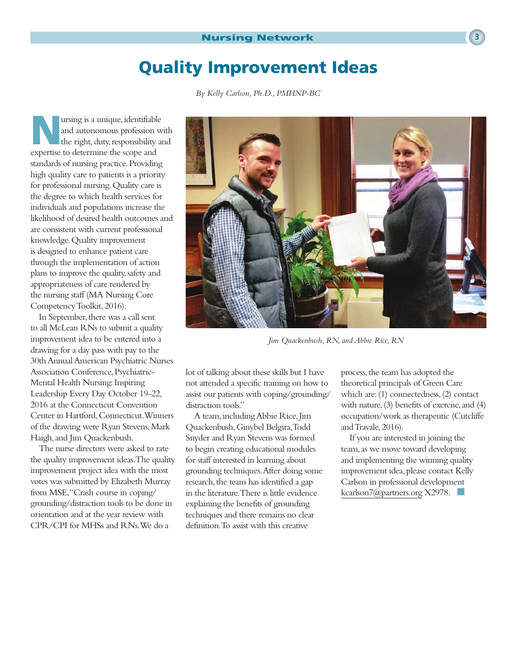## Quality Improvement Ideas

*By Kelly Carlson, Ph.D., PMHNP-BC*

ursing is a unique, identifiable<br>
and autonomous profession with<br>
the right, duty, responsibility and<br>
the right, duty, responsibility and and autonomous profession with expertise to determine the scope and standards of nursing practice. Providing high quality care to patients is a priority for professional nursing. Quality care is the degree to which health services for individuals and populations increase the likelihood of desired health outcomes and are consistent with current professional knowledge. Quality improvement is designed to enhance patient care through the implementation of action plans to improve the quality, safety and appropriateness of care rendered by the nursing staff (MA Nursing Core Competency Toolkit, 2016).

In September, there was a call sent to all McLean RNs to submit a quality improvement idea to be entered into a drawing for a day pass with pay to the 30th Annual American Psychiatric Nurses Association Conference, Psychiatric-Mental Health Nursing: Inspiring Leadership Every Day October 19-22, 2016 at the Connecticut Convention Center in Hartford, Connecticut. Winners of the drawing were Ryan Stevens, Mark Haigh, and Jim Quackenbush.

The nurse directors were asked to rate the quality improvement ideas. The quality improvement project idea with the most votes was submitted by Elizabeth Murray from MSE, "Crash course in coping/ grounding/distraction tools to be done in orientation and at the year review with CPR/CPI for MHSs and RNs. We do a



*Jim Quackenbush, RN, and Abbie Rice, RN*

lot of talking about these skills but I have not attended a specific training on how to assist our patients with coping/grounding/ distraction tools."

A team, including Abbie Rice, Jim Quackenbush, Ginybel Belgira, Todd Snyder and Ryan Stevens was formed to begin creating educational modules for staff interested in learning about grounding techniques. After doing some research, the team has identified a gap in the literature. There is little evidence explaining the benefits of grounding techniques and there remains no clear definition. To assist with this creative

process, the team has adopted the theoretical principals of Green Care which are: (1) connectedness, (2) contact with nature, (3) benefits of exercise, and (4) occupation/work as therapeutic (Cutcliffe and Travale, 2016).

If you are interested in joining the team, as we move toward developing and implementing the winning quality improvement idea, please contact Kelly Carlson in professional development kcarlson7@partners.org  $X2978$ .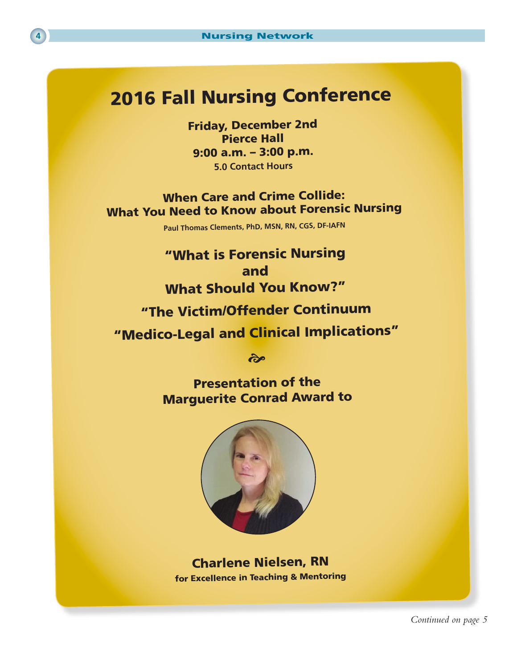# 2016 Fall Nursing Conference

Friday, December 2nd Pierce Hall 9:00 a.m. – 3:00 p.m. **5.0 Contact Hours**

### When Care and Crime Collide: What You Need to Know about Forensic Nursing

**Paul Thomas Clements, PhD, MSN, RN, CGS, DF-IAFN**

"What is Forensic Nursing and What Should You Know?" "The Victim/Offender Continuum "Medico-Legal and Clinical Implications"

**co** 

Presentation of the Marguerite Conrad Award to



Charlene Nielsen, RN for Excellence in Teaching & Mentoring

*Continued on page 5*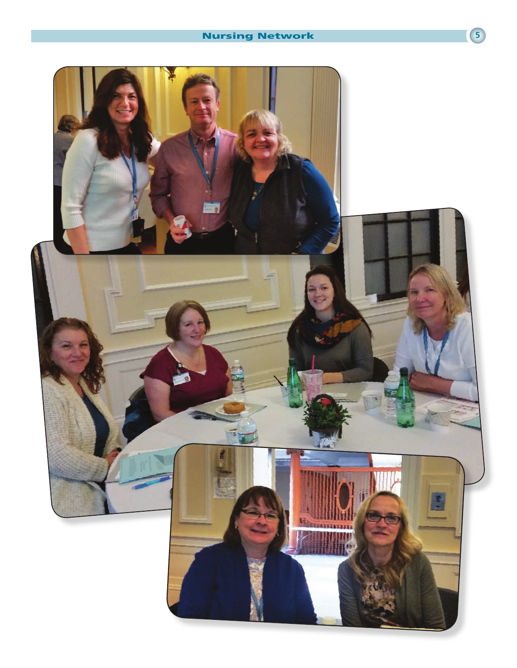### **Nursing Network 1999 (S)**

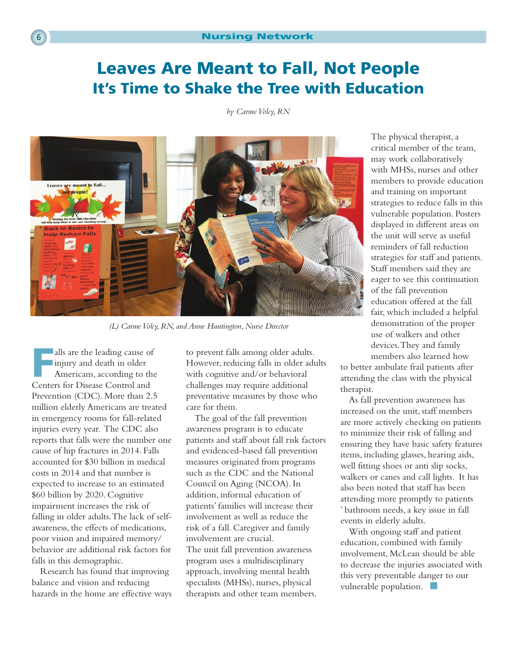## Leaves Are Meant to Fall, Not People It's Time to Shake the Tree with Education

*by Carme Volcy, RN*



 *(L) Carme Volcy, RN, and Anne Huntington, Nurse Director*

alls are the leading cause of<br>injury and death in older<br>Americans, according to the injury and death in older Americans, according to the Centers for Disease Control and Prevention (CDC). More than 2.5 million elderly Americans are treated in emergency rooms for fall-related injuries every year. The CDC also reports that falls were the number one cause of hip fractures in 2014. Falls accounted for \$30 billion in medical costs in 2014 and that number is expected to increase to an estimated \$60 billion by 2020. Cognitive impairment increases the risk of falling in older adults. The lack of selfawareness, the effects of medications, poor vision and impaired memory/ behavior are additional risk factors for falls in this demographic.

Research has found that improving balance and vision and reducing hazards in the home are effective ways to prevent falls among older adults. However, reducing falls in older adults with cognitive and/or behavioral challenges may require additional preventative measures by those who care for them.

The goal of the fall prevention awareness program is to educate patients and staff about fall risk factors and evidenced-based fall prevention measures originated from programs such as the CDC and the National Council on Aging (NCOA). In addition, informal education of patients' families will increase their involvement as well as reduce the risk of a fall. Caregiver and family involvement are crucial. The unit fall prevention awareness program uses a multidisciplinary approach, involving mental health specialists (MHSs), nurses, physical therapists and other team members.

The physical therapist, a critical member of the team, may work collaboratively with MHSs, nurses and other members to provide education and training on important strategies to reduce falls in this vulnerable population. Posters displayed in different areas on the unit will serve as useful reminders of fall reduction strategies for staff and patients. Staff members said they are eager to see this continuation of the fall prevention education offered at the fall fair, which included a helpful demonstration of the proper use of walkers and other devices. They and family members also learned how

to better ambulate frail patients after attending the class with the physical therapist.

As fall prevention awareness has increased on the unit, staff members are more actively checking on patients to minimize their risk of falling and ensuring they have basic safety features items, including glasses, hearing aids, well fitting shoes or anti slip socks, walkers or canes and call lights. It has also been noted that staff has been attending more promptly to patients ' bathroom needs, a key issue in fall events in elderly adults.

With ongoing staff and patient education, combined with family involvement, McLean should be able to decrease the injuries associated with this very preventable danger to our vulnerable population.  $\Box$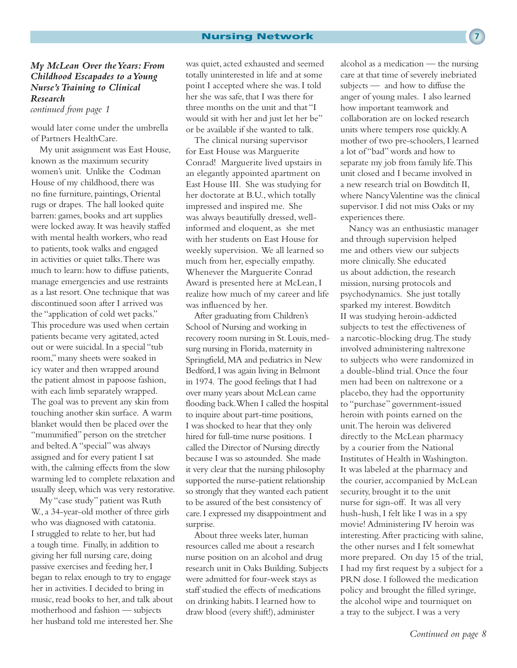#### *My McLean Over the Years: From Childhood Escapades to a Young Nurse's Training to Clinical Research*

*continued from page 1*

would later come under the umbrella of Partners HealthCare.

My unit assignment was East House, known as the maximum security women's unit. Unlike the Codman House of my childhood, there was no fine furniture, paintings, Oriental rugs or drapes. The hall looked quite barren: games, books and art supplies were locked away. It was heavily staffed with mental health workers, who read to patients, took walks and engaged in activities or quiet talks. There was much to learn: how to diffuse patients, manage emergencies and use restraints as a last resort. One technique that was discontinued soon after I arrived was the "application of cold wet packs." This procedure was used when certain patients became very agitated, acted out or were suicidal. In a special "tub room," many sheets were soaked in icy water and then wrapped around the patient almost in papoose fashion, with each limb separately wrapped. The goal was to prevent any skin from touching another skin surface. A warm blanket would then be placed over the "mummified" person on the stretcher and belted. A "special" was always assigned and for every patient I sat with, the calming effects from the slow warming led to complete relaxation and usually sleep, which was very restorative.

My "case study" patient was Ruth W., a 34-year-old mother of three girls who was diagnosed with catatonia. I struggled to relate to her, but had a tough time. Finally, in addition to giving her full nursing care, doing passive exercises and feeding her, I began to relax enough to try to engage her in activities. I decided to bring in music, read books to her, and talk about motherhood and fashion — subjects her husband told me interested her. She

was quiet, acted exhausted and seemed totally uninterested in life and at some point I accepted where she was. I told her she was safe, that I was there for three months on the unit and that "I would sit with her and just let her be" or be available if she wanted to talk.

The clinical nursing supervisor for East House was Marguerite Conrad! Marguerite lived upstairs in an elegantly appointed apartment on East House III. She was studying for her doctorate at B.U., which totally impressed and inspired me. She was always beautifully dressed, wellinformed and eloquent, as she met with her students on East House for weekly supervision. We all learned so much from her, especially empathy. Whenever the Marguerite Conrad Award is presented here at McLean, I realize how much of my career and life was influenced by her.

After graduating from Children's School of Nursing and working in recovery room nursing in St. Louis, medsurg nursing in Florida, maternity in Springfield, MA and pediatrics in New Bedford, I was again living in Belmont in 1974. The good feelings that I had over many years about McLean came flooding back. When I called the hospital to inquire about part-time positions, I was shocked to hear that they only hired for full-time nurse positions. I called the Director of Nursing directly because I was so astounded. She made it very clear that the nursing philosophy supported the nurse-patient relationship so strongly that they wanted each patient to be assured of the best consistency of care. I expressed my disappointment and surprise.

About three weeks later, human resources called me about a research nurse position on an alcohol and drug research unit in Oaks Building. Subjects were admitted for four-week stays as staff studied the effects of medications on drinking habits. I learned how to draw blood (every shift!), administer

alcohol as a medication — the nursing care at that time of severely inebriated subjects — and how to diffuse the anger of young males. I also learned how important teamwork and collaboration are on locked research units where tempers rose quickly. A mother of two pre-schoolers, I learned a lot of "bad" words and how to separate my job from family life. This unit closed and I became involved in a new research trial on Bowditch II, where Nancy Valentine was the clinical supervisor. I did not miss Oaks or my experiences there.

Nancy was an enthusiastic manager and through supervision helped me and others view our subjects more clinically. She educated us about addiction, the research mission, nursing protocols and psychodynamics. She just totally sparked my interest. Bowditch II was studying heroin-addicted subjects to test the effectiveness of a narcotic-blocking drug. The study involved administering naltrexone to subjects who were randomized in a double-blind trial. Once the four men had been on naltrexone or a placebo, they had the opportunity to "purchase" government-issued heroin with points earned on the unit. The heroin was delivered directly to the McLean pharmacy by a courier from the National Institutes of Health in Washington. It was labeled at the pharmacy and the courier, accompanied by McLean security, brought it to the unit nurse for sign-off. It was all very hush-hush, I felt like I was in a spy movie! Administering IV heroin was interesting. After practicing with saline, the other nurses and I felt somewhat more prepared. On day 15 of the trial, I had my first request by a subject for a PRN dose. I followed the medication policy and brought the filled syringe, the alcohol wipe and tourniquet on a tray to the subject. I was a very